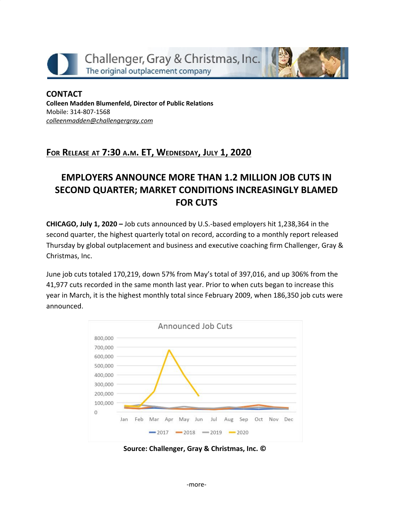

**CONTACT Colleen Madden Blumenfeld, Director of Public Relations** Mobile: 314-807-1568 *[colleenmadden@challengergray.com](mailto:colleenmadden@challengergray.com)*

# **FOR RELEASE AT 7:30 <sup>A</sup>.M. ET, WEDNESDAY, JULY 1, 2020**

# **EMPLOYERS ANNOUNCE MORE THAN 1.2 MILLION JOB CUTS IN SECOND QUARTER; MARKET CONDITIONS INCREASINGLY BLAMED FOR CUTS**

**CHICAGO, July 1, 2020 –** Job cuts announced by U.S.-based employers hit 1,238,364 in the second quarter, the highest quarterly total on record, according to a monthly report released Thursday by global outplacement and business and executive coaching firm Challenger, Gray & Christmas, Inc.

June job cuts totaled 170,219, down 57% from May's total of 397,016, and up 306% from the 41,977 cuts recorded in the same month last year. Prior to when cuts began to increase this year in March, it is the highest monthly total since February 2009, when 186,350 job cuts were announced.



**Source: Challenger, Gray & Christmas, Inc. ©**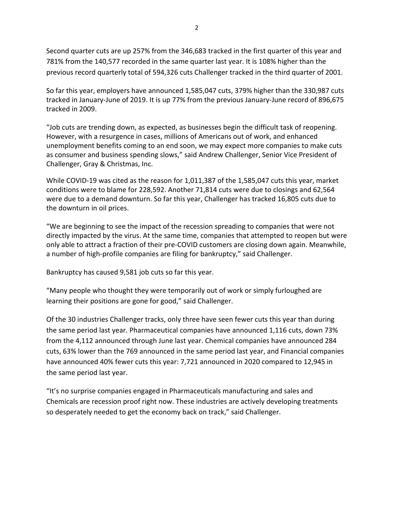Second quarter cuts are up 257% from the 346,683 tracked in the first quarter of this year and 781% from the 140,577 recorded in the same quarter last year. It is 108% higher than the previous record quarterly total of 594,326 cuts Challenger tracked in the third quarter of 2001.

So far this year, employers have announced 1,585,047 cuts, 379% higher than the 330,987 cuts tracked in January-June of 2019. It is up 77% from the previous January-June record of 896,675 tracked in 2009.

"Job cuts are trending down, as expected, as businesses begin the difficult task of reopening. However, with a resurgence in cases, millions of Americans out of work, and enhanced unemployment benefits coming to an end soon, we may expect more companies to make cuts as consumer and business spending slows," said Andrew Challenger, Senior Vice President of Challenger, Gray & Christmas, Inc.

While COVID-19 was cited as the reason for 1,011,387 of the 1,585,047 cuts this year, market conditions were to blame for 228,592. Another 71,814 cuts were due to closings and 62,564 were due to a demand downturn. So far this year, Challenger has tracked 16,805 cuts due to the downturn in oil prices.

"We are beginning to see the impact of the recession spreading to companies that were not directly impacted by the virus. At the same time, companies that attempted to reopen but were only able to attract a fraction of their pre-COVID customers are closing down again. Meanwhile, a number of high-profile companies are filing for bankruptcy," said Challenger.

Bankruptcy has caused 9,581 job cuts so far this year.

"Many people who thought they were temporarily out of work or simply furloughed are learning their positions are gone for good," said Challenger.

Of the 30 industries Challenger tracks, only three have seen fewer cuts this year than during the same period last year. Pharmaceutical companies have announced 1,116 cuts, down 73% from the 4,112 announced through June last year. Chemical companies have announced 284 cuts, 63% lower than the 769 announced in the same period last year, and Financial companies have announced 40% fewer cuts this year: 7,721 announced in 2020 compared to 12,945 in the same period last year.

"It's no surprise companies engaged in Pharmaceuticals manufacturing and sales and Chemicals are recession proof right now. These industries are actively developing treatments so desperately needed to get the economy back on track," said Challenger.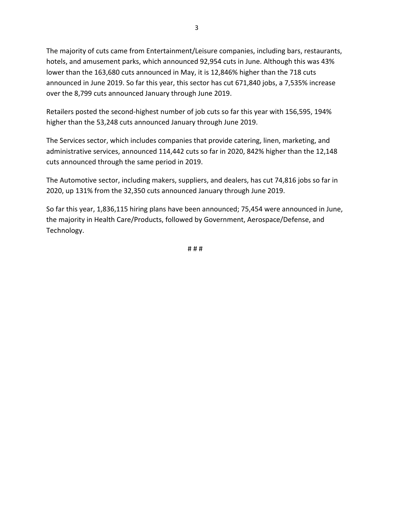The majority of cuts came from Entertainment/Leisure companies, including bars, restaurants, hotels, and amusement parks, which announced 92,954 cuts in June. Although this was 43% lower than the 163,680 cuts announced in May, it is 12,846% higher than the 718 cuts announced in June 2019. So far this year, this sector has cut 671,840 jobs, a 7,535% increase over the 8,799 cuts announced January through June 2019.

Retailers posted the second-highest number of job cuts so far this year with 156,595, 194% higher than the 53,248 cuts announced January through June 2019.

The Services sector, which includes companies that provide catering, linen, marketing, and administrative services, announced 114,442 cuts so far in 2020, 842% higher than the 12,148 cuts announced through the same period in 2019.

The Automotive sector, including makers, suppliers, and dealers, has cut 74,816 jobs so far in 2020, up 131% from the 32,350 cuts announced January through June 2019.

So far this year, 1,836,115 hiring plans have been announced; 75,454 were announced in June, the majority in Health Care/Products, followed by Government, Aerospace/Defense, and Technology.

# # #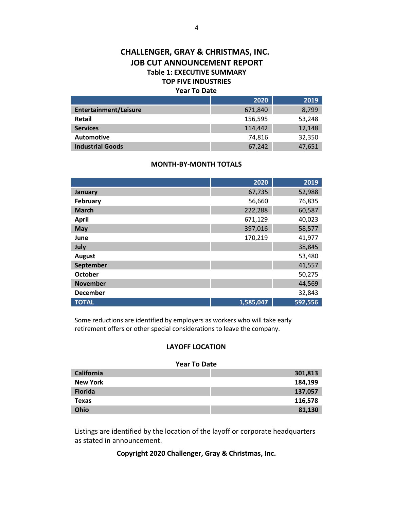### **CHALLENGER, GRAY & CHRISTMAS, INC. JOB CUT ANNOUNCEMENT REPORT Table 1: EXECUTIVE SUMMARY TOP FIVE INDUSTRIES Year To Date**

|                              | 2020    | 2019   |
|------------------------------|---------|--------|
| <b>Entertainment/Leisure</b> | 671,840 | 8,799  |
| Retail                       | 156,595 | 53,248 |
| <b>Services</b>              | 114,442 | 12,148 |
| <b>Automotive</b>            | 74,816  | 32,350 |
| <b>Industrial Goods</b>      | 67,242  | 47,651 |

#### **MONTH-BY-MONTH TOTALS**

|                 | 2020      | 2019    |
|-----------------|-----------|---------|
| January         | 67,735    | 52,988  |
| <b>February</b> | 56,660    | 76,835  |
| <b>March</b>    | 222,288   | 60,587  |
| <b>April</b>    | 671,129   | 40,023  |
| <b>May</b>      | 397,016   | 58,577  |
| June            | 170,219   | 41,977  |
| July            |           | 38,845  |
| <b>August</b>   |           | 53,480  |
| September       |           | 41,557  |
| <b>October</b>  |           | 50,275  |
| <b>November</b> |           | 44,569  |
| <b>December</b> |           | 32,843  |
| <b>TOTAL</b>    | 1,585,047 | 592,556 |

Some reductions are identified by employers as workers who will take early retirement offers or other special considerations to leave the company.

### **LAYOFF LOCATION**

#### **Year To Date**

| <b>California</b> | 301,813 |
|-------------------|---------|
| <b>New York</b>   | 184,199 |
| <b>Florida</b>    | 137,057 |
| <b>Texas</b>      | 116,578 |
| Ohio              | 81,130  |

Listings are identified by the location of the layoff or corporate headquarters as stated in announcement.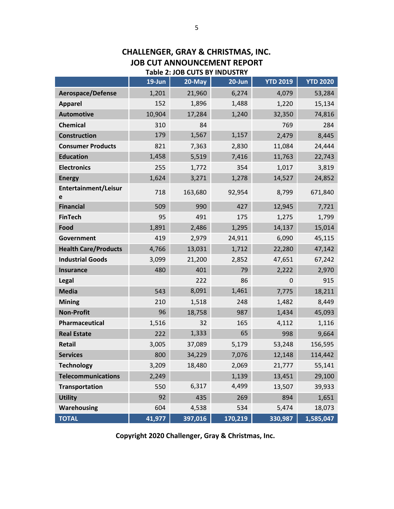## **CHALLENGER, GRAY & CHRISTMAS, INC. JOB CUT ANNOUNCEMENT REPORT Table 2: JOB CUTS BY INDUSTRY**

|                             | $19$ -Jun | 20-May  | 20-Jun  | <b>YTD 2019</b> | <b>YTD 2020</b> |
|-----------------------------|-----------|---------|---------|-----------------|-----------------|
| Aerospace/Defense           | 1,201     | 21,960  | 6,274   | 4,079           | 53,284          |
| <b>Apparel</b>              | 152       | 1,896   | 1,488   | 1,220           | 15,134          |
| <b>Automotive</b>           | 10,904    | 17,284  | 1,240   | 32,350          | 74,816          |
| <b>Chemical</b>             | 310       | 84      |         | 769             | 284             |
| <b>Construction</b>         | 179       | 1,567   | 1,157   | 2,479           | 8,445           |
| <b>Consumer Products</b>    | 821       | 7,363   | 2,830   | 11,084          | 24,444          |
| <b>Education</b>            | 1,458     | 5,519   | 7,416   | 11,763          | 22,743          |
| <b>Electronics</b>          | 255       | 1,772   | 354     | 1,017           | 3,819           |
| <b>Energy</b>               | 1,624     | 3,271   | 1,278   | 14,527          | 24,852          |
| Entertainment/Leisur<br>е   | 718       | 163,680 | 92,954  | 8,799           | 671,840         |
| <b>Financial</b>            | 509       | 990     | 427     | 12,945          | 7,721           |
| <b>FinTech</b>              | 95        | 491     | 175     | 1,275           | 1,799           |
| Food                        | 1,891     | 2,486   | 1,295   | 14,137          | 15,014          |
| Government                  | 419       | 2,979   | 24,911  | 6,090           | 45,115          |
| <b>Health Care/Products</b> | 4,766     | 13,031  | 1,712   | 22,280          | 47,142          |
| <b>Industrial Goods</b>     | 3,099     | 21,200  | 2,852   | 47,651          | 67,242          |
| <b>Insurance</b>            | 480       | 401     | 79      | 2,222           | 2,970           |
| Legal                       |           | 222     | 86      | $\mathbf 0$     | 915             |
| <b>Media</b>                | 543       | 8,091   | 1,461   | 7,775           | 18,211          |
| <b>Mining</b>               | 210       | 1,518   | 248     | 1,482           | 8,449           |
| <b>Non-Profit</b>           | 96        | 18,758  | 987     | 1,434           | 45,093          |
| Pharmaceutical              | 1,516     | 32      | 165     | 4,112           | 1,116           |
| <b>Real Estate</b>          | 222       | 1,333   | 65      | 998             | 9,664           |
| <b>Retail</b>               | 3,005     | 37,089  | 5,179   | 53,248          | 156,595         |
| <b>Services</b>             | 800       | 34,229  | 7,076   | 12,148          | 114,442         |
| <b>Technology</b>           | 3,209     | 18,480  | 2,069   | 21,777          | 55,141          |
| <b>Telecommunications</b>   | 2,249     |         | 1,139   | 13,451          | 29,100          |
| <b>Transportation</b>       | 550       | 6,317   | 4,499   | 13,507          | 39,933          |
| <b>Utility</b>              | 92        | 435     | 269     | 894             | 1,651           |
| <b>Warehousing</b>          | 604       | 4,538   | 534     | 5,474           | 18,073          |
| <b>TOTAL</b>                | 41,977    | 397,016 | 170,219 | 330,987         | 1,585,047       |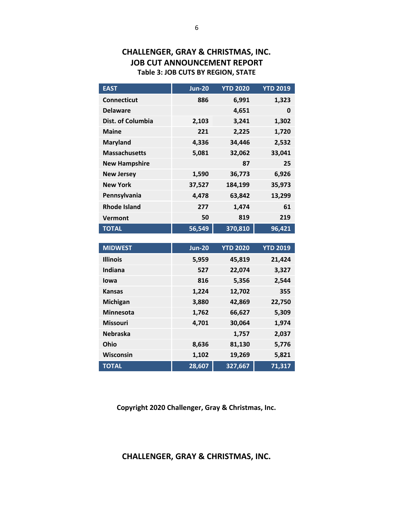# **CHALLENGER, GRAY & CHRISTMAS, INC. JOB CUT ANNOUNCEMENT REPORT Table 3: JOB CUTS BY REGION, STATE**

| <b>EAST</b>          | <b>Jun-20</b> | <b>YTD 2020</b> | <b>YTD 2019</b> |
|----------------------|---------------|-----------------|-----------------|
| <b>Connecticut</b>   | 886           | 6,991           | 1,323           |
| <b>Delaware</b>      |               | 4,651           | 0               |
| Dist. of Columbia    | 2,103         | 3,241           | 1,302           |
| <b>Maine</b>         | 221           | 2,225           | 1,720           |
| <b>Maryland</b>      | 4,336         | 34,446          | 2,532           |
| <b>Massachusetts</b> | 5,081         | 32,062          | 33,041          |
| <b>New Hampshire</b> |               | 87              | 25              |
| <b>New Jersey</b>    | 1,590         | 36,773          | 6,926           |
| <b>New York</b>      | 37,527        | 184,199         | 35,973          |
| Pennsylvania         | 4,478         | 63,842          | 13,299          |
| <b>Rhode Island</b>  | 277           | 1,474           | 61              |
| Vermont              | 50            | 819             | 219             |
| <b>TOTAL</b>         | 56,549        | 370,810         | 96,421          |

| <b>MIDWEST</b>   | <b>Jun-20</b> | <b>YTD 2020</b> | <b>YTD 2019</b> |
|------------------|---------------|-----------------|-----------------|
| <b>Illinois</b>  | 5,959         | 45,819          | 21,424          |
| Indiana          | 527           | 22,074          | 3,327           |
| lowa             | 816           | 5,356           | 2,544           |
| <b>Kansas</b>    | 1,224         | 12,702          | 355             |
| Michigan         | 3,880         | 42,869          | 22,750          |
| <b>Minnesota</b> | 1,762         | 66,627          | 5,309           |
| <b>Missouri</b>  | 4,701         | 30,064          | 1,974           |
| <b>Nebraska</b>  |               | 1,757           | 2,037           |
| Ohio             | 8,636         | 81,130          | 5,776           |
| Wisconsin        | 1,102         | 19,269          | 5,821           |
| <b>TOTAL</b>     | 28,607        | 327,667         | 71,317          |

**Copyright 2020 Challenger, Gray & Christmas, Inc.**

**CHALLENGER, GRAY & CHRISTMAS, INC.**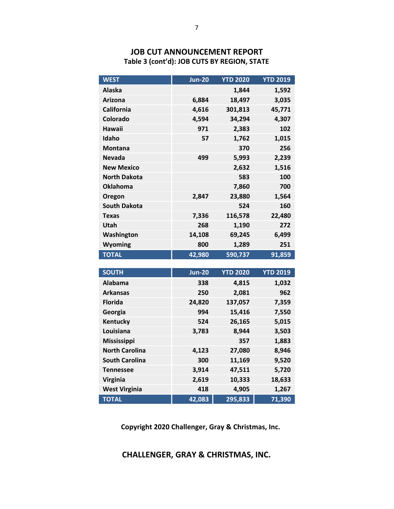# **JOB CUT ANNOUNCEMENT REPORT Table 3 (cont'd): JOB CUTS BY REGION, STATE**

| <b>Alaska</b><br>1,844<br>1,592<br>18,497<br>3,035<br><b>Arizona</b><br>6,884<br>45,771<br>California<br>4,616<br>301,813<br>Colorado<br>4,594<br>34,294<br>4,307<br>Hawaii<br>971<br>102<br>2,383<br>Idaho<br>1,762<br>1,015<br>57<br><b>Montana</b><br>370<br>256 |
|---------------------------------------------------------------------------------------------------------------------------------------------------------------------------------------------------------------------------------------------------------------------|
|                                                                                                                                                                                                                                                                     |
|                                                                                                                                                                                                                                                                     |
|                                                                                                                                                                                                                                                                     |
|                                                                                                                                                                                                                                                                     |
|                                                                                                                                                                                                                                                                     |
|                                                                                                                                                                                                                                                                     |
|                                                                                                                                                                                                                                                                     |
| 5,993<br><b>Nevada</b><br>499<br>2,239                                                                                                                                                                                                                              |
| <b>New Mexico</b><br>1,516<br>2,632                                                                                                                                                                                                                                 |
| <b>North Dakota</b><br>583<br>100                                                                                                                                                                                                                                   |
| <b>Oklahoma</b><br>700<br>7,860                                                                                                                                                                                                                                     |
| 1,564<br>Oregon<br>2,847<br>23,880                                                                                                                                                                                                                                  |
| <b>South Dakota</b><br>524<br>160                                                                                                                                                                                                                                   |
| 116,578<br>22,480<br>7,336<br><b>Texas</b>                                                                                                                                                                                                                          |
| Utah<br>1,190<br>272<br>268                                                                                                                                                                                                                                         |
| 6,499<br>Washington<br>14,108<br>69,245                                                                                                                                                                                                                             |
| <b>Wyoming</b><br>1,289<br>800<br>251                                                                                                                                                                                                                               |
| <b>TOTAL</b><br>590,737<br>42,980<br>91,859                                                                                                                                                                                                                         |

| <b>SOUTH</b>          | <b>Jun-20</b> | <b>YTD 2020</b> | <b>YTD 2019</b> |
|-----------------------|---------------|-----------------|-----------------|
| Alabama               | 338           | 4,815           | 1,032           |
| <b>Arkansas</b>       | 250           | 2,081           | 962             |
| <b>Florida</b>        | 24,820        | 137,057         | 7,359           |
| Georgia               | 994           | 15,416          | 7,550           |
| Kentucky              | 524           | 26,165          | 5,015           |
| Louisiana             | 3,783         | 8,944           | 3,503           |
| <b>Mississippi</b>    |               | 357             | 1,883           |
| <b>North Carolina</b> | 4,123         | 27,080          | 8,946           |
| <b>South Carolina</b> | 300           | 11,169          | 9,520           |
| <b>Tennessee</b>      | 3,914         | 47,511          | 5,720           |
| <b>Virginia</b>       | 2,619         | 10,333          | 18,633          |
| <b>West Virginia</b>  | 418           | 4,905           | 1,267           |
| <b>TOTAL</b>          | 42,083        | 295,833         | 71,390          |

 **Copyright 2020 Challenger, Gray & Christmas, Inc.**

**CHALLENGER, GRAY & CHRISTMAS, INC.**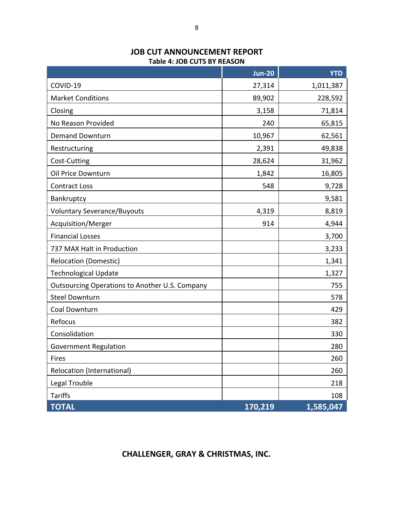|                                                | <b>Jun-20</b> | <b>YTD</b> |
|------------------------------------------------|---------------|------------|
| COVID-19                                       | 27,314        | 1,011,387  |
| <b>Market Conditions</b>                       | 89,902        | 228,592    |
| Closing                                        | 3,158         | 71,814     |
| No Reason Provided                             | 240           | 65,815     |
| <b>Demand Downturn</b>                         | 10,967        | 62,561     |
| Restructuring                                  | 2,391         | 49,838     |
| Cost-Cutting                                   | 28,624        | 31,962     |
| Oil Price Downturn                             | 1,842         | 16,805     |
| <b>Contract Loss</b>                           | 548           | 9,728      |
| Bankruptcy                                     |               | 9,581      |
| <b>Voluntary Severance/Buyouts</b>             | 4,319         | 8,819      |
| Acquisition/Merger                             | 914           | 4,944      |
| <b>Financial Losses</b>                        |               | 3,700      |
| 737 MAX Halt in Production                     |               | 3,233      |
| <b>Relocation (Domestic)</b>                   |               | 1,341      |
| <b>Technological Update</b>                    |               | 1,327      |
| Outsourcing Operations to Another U.S. Company |               | 755        |
| <b>Steel Downturn</b>                          |               | 578        |
| Coal Downturn                                  |               | 429        |
| Refocus                                        |               | 382        |
| Consolidation                                  |               | 330        |
| <b>Government Regulation</b>                   |               | 280        |
| Fires                                          |               | 260        |
| Relocation (International)                     |               | 260        |
| Legal Trouble                                  |               | 218        |
| <b>Tariffs</b>                                 |               | 108        |

### **JOB CUT ANNOUNCEMENT REPORT Table 4: JOB CUTS BY REASON**

**TOTAL 170,219 1,585,047**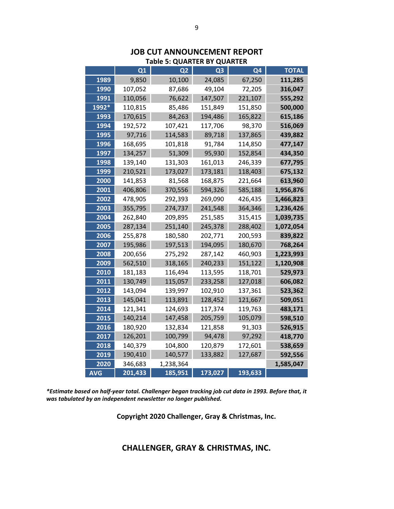|       |         | Table 5: QUARTER BY QUARTER |                |         |              |
|-------|---------|-----------------------------|----------------|---------|--------------|
|       | Q1      | Q <sub>2</sub>              | Q <sub>3</sub> | Q4      | <b>TOTAL</b> |
| 1989  | 9,850   | 10,100                      | 24,085         | 67,250  | 111,285      |
| 1990  | 107,052 | 87,686                      | 49,104         | 72,205  | 316,047      |
| 1991  | 110,056 | 76,622                      | 147,507        | 221,107 | 555,292      |
| 1992* | 110,815 | 85,486                      | 151,849        | 151,850 | 500,000      |
| 1993  | 170,615 | 84,263                      | 194,486        | 165,822 | 615,186      |
| 1994  | 192,572 | 107,421                     | 117,706        | 98,370  | 516,069      |
| 1995  | 97,716  | 114,583                     | 89,718         | 137,865 | 439,882      |
| 1996  | 168,695 | 101,818                     | 91,784         | 114,850 | 477,147      |
| 1997  | 134,257 | 51,309                      | 95,930         | 152,854 | 434,350      |
| 1998  | 139,140 | 131,303                     | 161,013        | 246,339 | 677,795      |
| 1999  | 210,521 | 173,027                     | 173,181        | 118,403 | 675,132      |
| 2000  | 141,853 | 81,568                      | 168,875        | 221,664 | 613,960      |
| 2001  | 406,806 | 370,556                     | 594,326        | 585,188 | 1,956,876    |
| 2002  | 478,905 | 292,393                     | 269,090        | 426,435 | 1,466,823    |
| 2003  | 355,795 | 274,737                     | 241,548        | 364,346 | 1,236,426    |
| 2004  | 262,840 | 209,895                     | 251,585        | 315,415 | 1,039,735    |
| 2005  | 287,134 | 251,140                     | 245,378        | 288,402 | 1,072,054    |
| 2006  | 255,878 | 180,580                     | 202,771        | 200,593 | 839,822      |
| 2007  | 195,986 | 197,513                     | 194,095        | 180,670 | 768,264      |
| 2008  | 200,656 | 275,292                     | 287,142        | 460,903 | 1,223,993    |
| 2009  | 562,510 | 318,165                     | 240,233        | 151,122 | 1,120,908    |
| 2010  | 181,183 | 116,494                     | 113,595        | 118,701 | 529,973      |
| 2011  | 130,749 | 115,057                     | 233,258        | 127,018 | 606,082      |
| 2012  | 143,094 | 139,997                     | 102,910        | 137,361 | 523,362      |
| 2013  | 145,041 | 113,891                     | 128,452        | 121,667 | 509,051      |
| 2014  | 121,341 | 124,693                     | 117,374        | 119,763 | 483,171      |
| 2015  | 140,214 | 147,458                     | 205,759        | 105,079 | 598,510      |
| 2016  | 180,920 | 132,834                     | 121,858        | 91,303  | 526,915      |
| 2017  | 126,201 | 100,799                     | 94,478         | 97,292  | 418,770      |
| 2018  | 140,379 | 104,800                     | 120,879        | 172,601 | 538,659      |
| 2019  | 190,410 | 140,577                     | 133,882        | 127,687 | 592,556      |
| 2020  | 346,683 | 1,238,364                   |                |         | 1,585,047    |
| AVG   | 201,433 | 185,951                     | 173,027        | 193,633 |              |

# **JOB CUT ANNOUNCEMENT REPORT Table 5: QUARTER BY QUARTER**

*\*Estimate based on half-year total. Challenger began tracking job cut data in 1993. Before that, it was tabulated by an independent newsletter no longer published.*

**Copyright 2020 Challenger, Gray & Christmas, Inc.**

**CHALLENGER, GRAY & CHRISTMAS, INC.**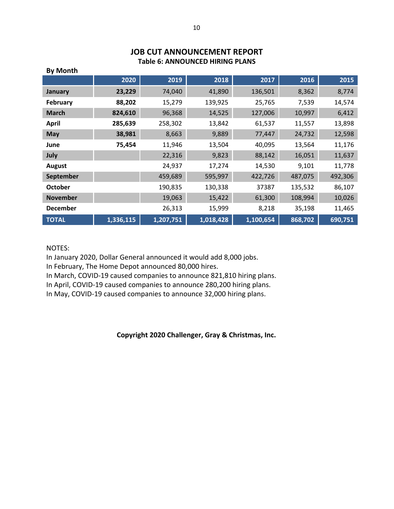# **JOB CUT ANNOUNCEMENT REPORT Table 6: ANNOUNCED HIRING PLANS**

| ру настан       |           |           |           |           |         |         |
|-----------------|-----------|-----------|-----------|-----------|---------|---------|
|                 | 2020      | 2019      | 2018      | 2017      | 2016    | 2015    |
| January         | 23,229    | 74,040    | 41,890    | 136,501   | 8,362   | 8,774   |
| <b>February</b> | 88,202    | 15,279    | 139,925   | 25,765    | 7,539   | 14,574  |
| <b>March</b>    | 824,610   | 96,368    | 14,525    | 127,006   | 10,997  | 6,412   |
| <b>April</b>    | 285,639   | 258,302   | 13,842    | 61,537    | 11,557  | 13,898  |
| <b>May</b>      | 38,981    | 8,663     | 9,889     | 77,447    | 24,732  | 12,598  |
| June            | 75,454    | 11,946    | 13,504    | 40,095    | 13,564  | 11,176  |
| July            |           | 22,316    | 9,823     | 88,142    | 16,051  | 11,637  |
| <b>August</b>   |           | 24,937    | 17,274    | 14,530    | 9,101   | 11,778  |
| September       |           | 459,689   | 595,997   | 422,726   | 487,075 | 492,306 |
| <b>October</b>  |           | 190,835   | 130,338   | 37387     | 135,532 | 86,107  |
| <b>November</b> |           | 19,063    | 15,422    | 61,300    | 108,994 | 10,026  |
| <b>December</b> |           | 26,313    | 15,999    | 8,218     | 35,198  | 11,465  |
| <b>TOTAL</b>    | 1,336,115 | 1,207,751 | 1,018,428 | 1,100,654 | 868,702 | 690,751 |

# **By Month**

### NOTES:

In January 2020, Dollar General announced it would add 8,000 jobs.

In February, The Home Depot announced 80,000 hires.

In March, COVID-19 caused companies to announce 821,810 hiring plans.

In April, COVID-19 caused companies to announce 280,200 hiring plans.

In May, COVID-19 caused companies to announce 32,000 hiring plans.